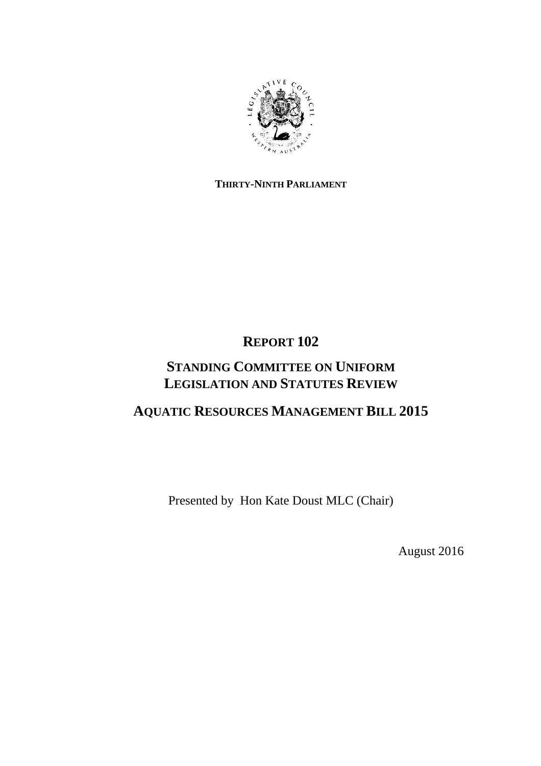

### **THIRTY-NINTH PARLIAMENT**

# **REPORT 102**

# **STANDING COMMITTEE ON UNIFORM LEGISLATION AND STATUTES REVIEW**

# **AQUATIC RESOURCES MANAGEMENT BILL 2015**

Presented by Hon Kate Doust MLC (Chair)

August 2016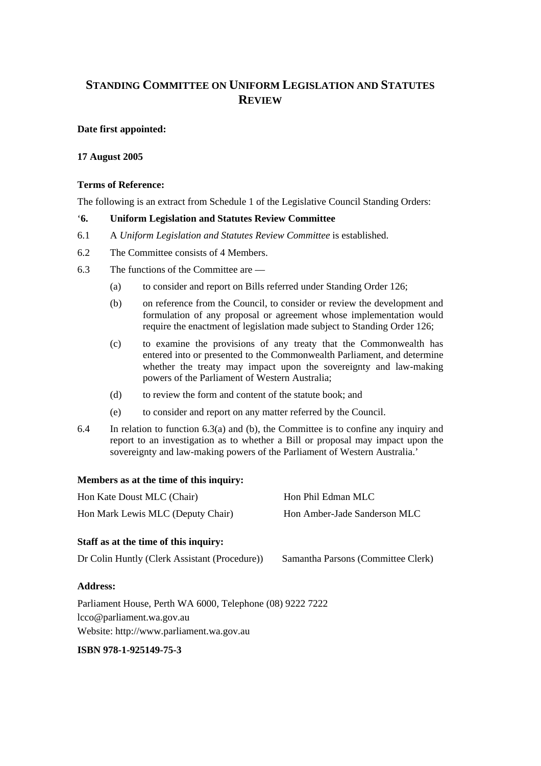## **STANDING COMMITTEE ON UNIFORM LEGISLATION AND STATUTES REVIEW**

### **Date first appointed:**

#### **17 August 2005**

#### **Terms of Reference:**

The following is an extract from Schedule 1 of the Legislative Council Standing Orders:

#### '**6. Uniform Legislation and Statutes Review Committee**

- 6.1 A *Uniform Legislation and Statutes Review Committee* is established.
- 6.2 The Committee consists of 4 Members.
- 6.3 The functions of the Committee are
	- (a) to consider and report on Bills referred under Standing Order 126;
	- (b) on reference from the Council, to consider or review the development and formulation of any proposal or agreement whose implementation would require the enactment of legislation made subject to Standing Order 126;
	- (c) to examine the provisions of any treaty that the Commonwealth has entered into or presented to the Commonwealth Parliament, and determine whether the treaty may impact upon the sovereignty and law-making powers of the Parliament of Western Australia;
	- (d) to review the form and content of the statute book; and
	- (e) to consider and report on any matter referred by the Council.
- 6.4 In relation to function 6.3(a) and (b), the Committee is to confine any inquiry and report to an investigation as to whether a Bill or proposal may impact upon the sovereignty and law-making powers of the Parliament of Western Australia.'

#### **Members as at the time of this inquiry:**

| Staff as at the time of this inquiry: |                              |
|---------------------------------------|------------------------------|
| Hon Mark Lewis MLC (Deputy Chair)     | Hon Amber-Jade Sanderson MLC |
| Hon Kate Doust MLC (Chair)            | Hon Phil Edman MLC           |

Dr Colin Huntly (Clerk Assistant (Procedure)) Samantha Parsons (Committee Clerk)

#### **Address:**

Parliament House, Perth WA 6000, Telephone (08) 9222 7222 lcco@parliament.wa.gov.au Website: http://www.parliament.wa.gov.au

#### **ISBN 978-1-925149-75-3**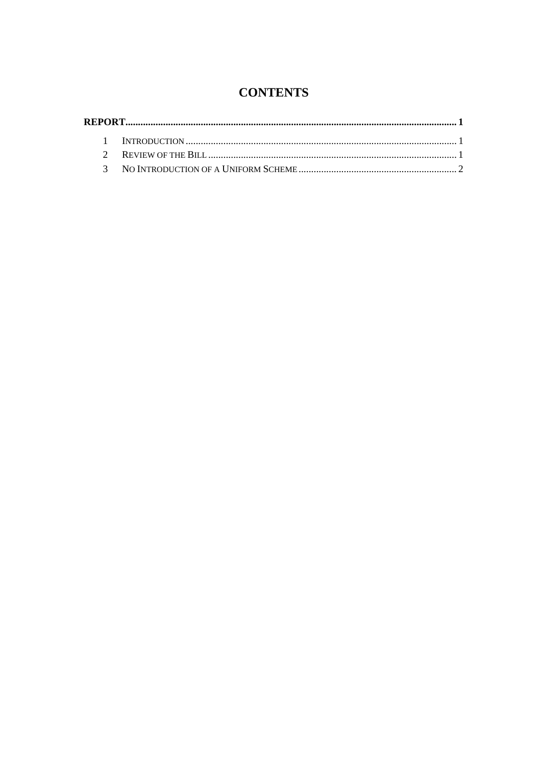# **CONTENTS**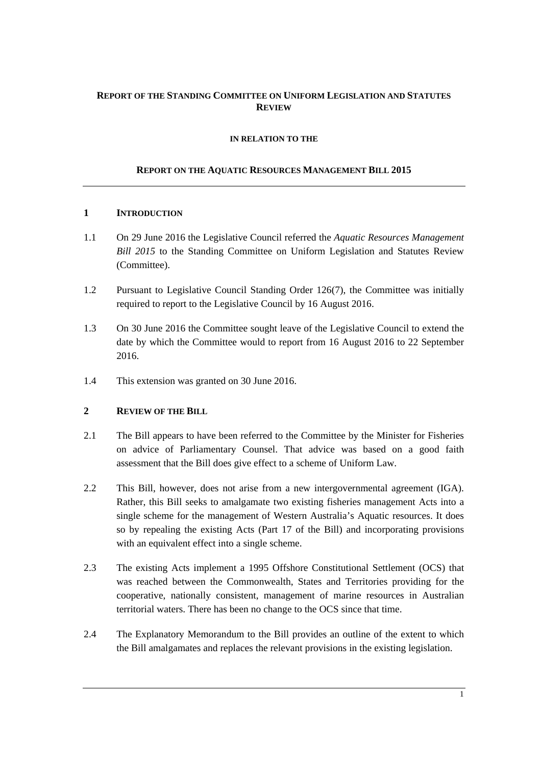### **REPORT OF THE STANDING COMMITTEE ON UNIFORM LEGISLATION AND STATUTES REVIEW**

#### **IN RELATION TO THE**

#### **REPORT ON THE AQUATIC RESOURCES MANAGEMENT BILL 2015**

#### **1 INTRODUCTION**

- 1.1 On 29 June 2016 the Legislative Council referred the *Aquatic Resources Management Bill 2015* to the Standing Committee on Uniform Legislation and Statutes Review (Committee).
- 1.2 Pursuant to Legislative Council Standing Order 126(7), the Committee was initially required to report to the Legislative Council by 16 August 2016.
- 1.3 On 30 June 2016 the Committee sought leave of the Legislative Council to extend the date by which the Committee would to report from 16 August 2016 to 22 September 2016.
- 1.4 This extension was granted on 30 June 2016.

#### **2 REVIEW OF THE BILL**

- 2.1 The Bill appears to have been referred to the Committee by the Minister for Fisheries on advice of Parliamentary Counsel. That advice was based on a good faith assessment that the Bill does give effect to a scheme of Uniform Law.
- 2.2 This Bill, however, does not arise from a new intergovernmental agreement (IGA). Rather, this Bill seeks to amalgamate two existing fisheries management Acts into a single scheme for the management of Western Australia's Aquatic resources. It does so by repealing the existing Acts (Part 17 of the Bill) and incorporating provisions with an equivalent effect into a single scheme.
- 2.3 The existing Acts implement a 1995 Offshore Constitutional Settlement (OCS) that was reached between the Commonwealth, States and Territories providing for the cooperative, nationally consistent, management of marine resources in Australian territorial waters. There has been no change to the OCS since that time.
- 2.4 The Explanatory Memorandum to the Bill provides an outline of the extent to which the Bill amalgamates and replaces the relevant provisions in the existing legislation.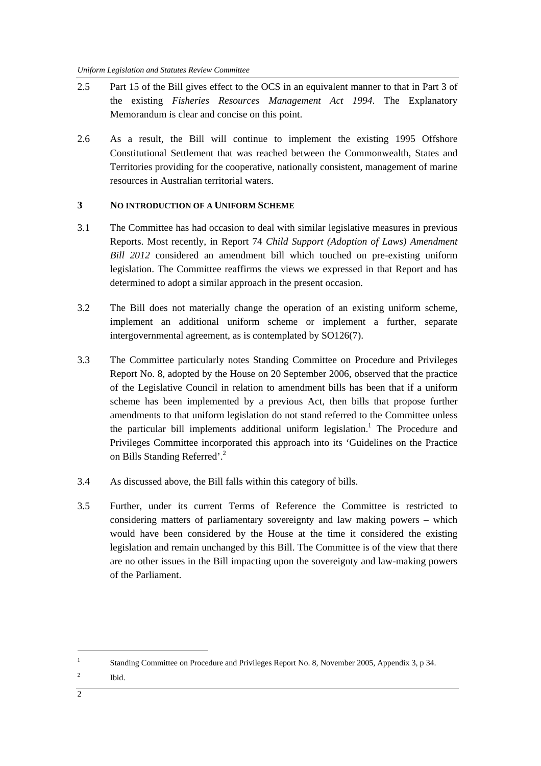- 2.5 Part 15 of the Bill gives effect to the OCS in an equivalent manner to that in Part 3 of the existing *Fisheries Resources Management Act 1994*. The Explanatory Memorandum is clear and concise on this point.
- 2.6 As a result, the Bill will continue to implement the existing 1995 Offshore Constitutional Settlement that was reached between the Commonwealth, States and Territories providing for the cooperative, nationally consistent, management of marine resources in Australian territorial waters.

### **3 NO INTRODUCTION OF A UNIFORM SCHEME**

- 3.1 The Committee has had occasion to deal with similar legislative measures in previous Reports. Most recently, in Report 74 *Child Support (Adoption of Laws) Amendment Bill 2012* considered an amendment bill which touched on pre-existing uniform legislation. The Committee reaffirms the views we expressed in that Report and has determined to adopt a similar approach in the present occasion.
- 3.2 The Bill does not materially change the operation of an existing uniform scheme, implement an additional uniform scheme or implement a further, separate intergovernmental agreement, as is contemplated by SO126(7).
- 3.3 The Committee particularly notes Standing Committee on Procedure and Privileges Report No. 8, adopted by the House on 20 September 2006, observed that the practice of the Legislative Council in relation to amendment bills has been that if a uniform scheme has been implemented by a previous Act, then bills that propose further amendments to that uniform legislation do not stand referred to the Committee unless the particular bill implements additional uniform legislation.<sup>1</sup> The Procedure and Privileges Committee incorporated this approach into its 'Guidelines on the Practice on Bills Standing Referred'.<sup>2</sup>
- 3.4 As discussed above, the Bill falls within this category of bills.
- 3.5 Further, under its current Terms of Reference the Committee is restricted to considering matters of parliamentary sovereignty and law making powers – which would have been considered by the House at the time it considered the existing legislation and remain unchanged by this Bill. The Committee is of the view that there are no other issues in the Bill impacting upon the sovereignty and law-making powers of the Parliament.

2 Ibid.

<sup>1</sup> Standing Committee on Procedure and Privileges Report No. 8, November 2005, Appendix 3, p 34.